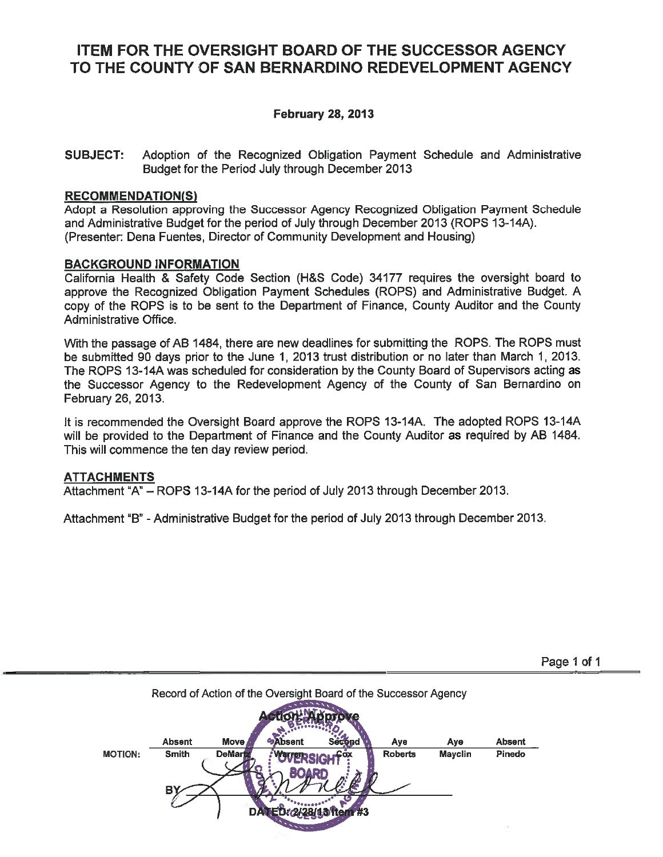# **ITEM FOR THE OVERSIGHT BOARD OF THE SUCCESSOR AGENCY** TO THE COUNTY OF SAN BERNARDINO REDEVELOPMENT AGENCY

## **February 28, 2013**

**SUBJECT:** Adoption of the Recognized Obligation Payment Schedule and Administrative Budget for the Period July through December 2013

### **RECOMMENDATION(S)**

Adopt a Resolution approving the Successor Agency Recognized Obligation Payment Schedule and Administrative Budget for the period of July through December 2013 (ROPS 13-14A). (Presenter: Dena Fuentes, Director of Community Development and Housing)

### **BACKGROUND INFORMATION**

California Health & Safety Code Section (H&S Code) 34177 requires the oversight board to approve the Recognized Obligation Payment Schedules (ROPS) and Administrative Budget. A copy of the ROPS is to be sent to the Department of Finance. County Auditor and the County Administrative Office.

With the passage of AB 1484, there are new deadlines for submitting the ROPS. The ROPS must be submitted 90 days prior to the June 1, 2013 trust distribution or no later than March 1, 2013. The ROPS 13-14A was scheduled for consideration by the County Board of Supervisors acting as the Successor Agency to the Redevelopment Agency of the County of San Bernardino on February 26, 2013.

It is recommended the Oversight Board approve the ROPS 13-14A. The adopted ROPS 13-14A will be provided to the Department of Finance and the County Auditor as required by AB 1484. This will commence the ten day review period.

### **ATTACHMENTS**

Attachment "A" - ROPS 13-14A for the period of July 2013 through December 2013.

Attachment "B" - Administrative Budget for the period of July 2013 through December 2013.

|                |               |                | Record of Action of the Oversight Board of the Successor Agency |        |                |                |               |
|----------------|---------------|----------------|-----------------------------------------------------------------|--------|----------------|----------------|---------------|
|                | <b>Absent</b> | Move,          | <b>DAbsent</b>                                                  | Secend | Aye            | Aye            | <b>Absent</b> |
| <b>MOTION:</b> | <b>Smith</b>  | <b>DeMartz</b> | <b>PATTER</b> CI                                                |        | <b>Roberts</b> | <b>Mayclin</b> | Pinedo        |
|                | Bγ            |                |                                                                 |        |                |                |               |
|                |               |                |                                                                 | #3     |                |                |               |

Page 1 of 1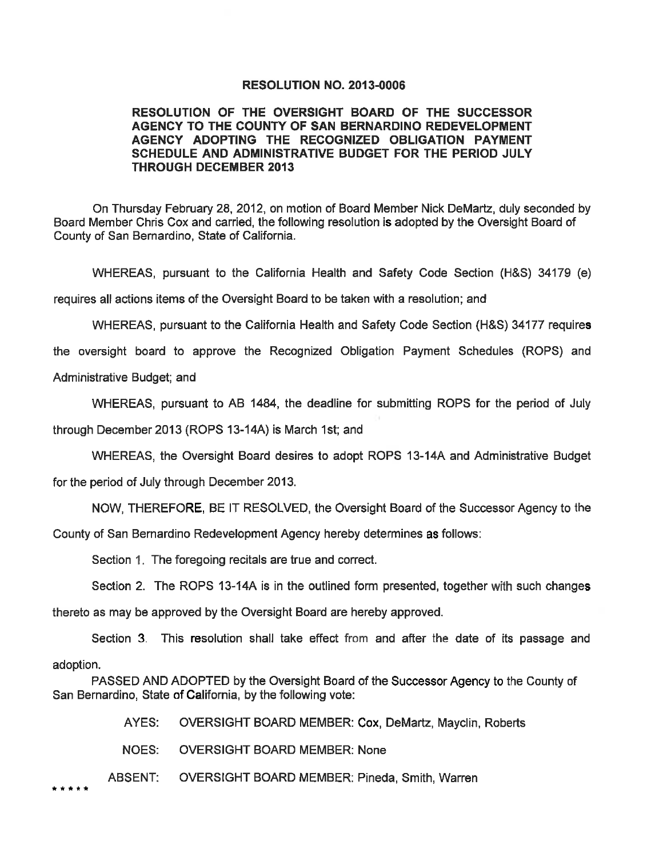### **RESOLUTION NO. 2013-0006**

### RESOLUTION OF THE OVERSIGHT BOARD OF THE SUCCESSOR AGENCY TO THE COUNTY OF SAN BERNARDINO REDEVELOPMENT AGENCY ADOPTING THE RECOGNIZED OBLIGATION PAYMENT SCHEDULE AND ADMINISTRATIVE BUDGET FOR THE PERIOD JULY **THROUGH DECEMBER 2013**

On Thursday February 28, 2012, on motion of Board Member Nick DeMartz, duly seconded by Board Member Chris Cox and carried, the following resolution is adopted by the Oversight Board of County of San Bernardino, State of California.

WHEREAS, pursuant to the California Health and Safety Code Section (H&S) 34179 (e) requires all actions items of the Oversight Board to be taken with a resolution; and

WHEREAS, pursuant to the California Health and Safety Code Section (H&S) 34177 requires

the oversight board to approve the Recognized Obligation Payment Schedules (ROPS) and

Administrative Budget; and

WHEREAS, pursuant to AB 1484, the deadline for submitting ROPS for the period of July

through December 2013 (ROPS 13-14A) is March 1st; and

WHEREAS, the Oversight Board desires to adopt ROPS 13-14A and Administrative Budget

for the period of July through December 2013.

NOW, THEREFORE, BE IT RESOLVED, the Oversight Board of the Successor Agency to the

County of San Bernardino Redevelopment Agency hereby determines as follows:

Section 1. The foregoing recitals are true and correct.

Section 2. The ROPS 13-14A is in the outlined form presented, together with such changes

thereto as may be approved by the Oversight Board are hereby approved.

Section 3. This resolution shall take effect from and after the date of its passage and adoption.

PASSED AND ADOPTED by the Oversight Board of the Successor Agency to the County of San Bernardino, State of California, by the following vote:

> AYES: **OVERSIGHT BOARD MEMBER: Cox, DeMartz, Mayclin, Roberts**

NOES: **OVERSIGHT BOARD MEMBER: None** 

ABSENT: **OVERSIGHT BOARD MEMBER: Pineda, Smith, Warren** 

\* \* \* \* \*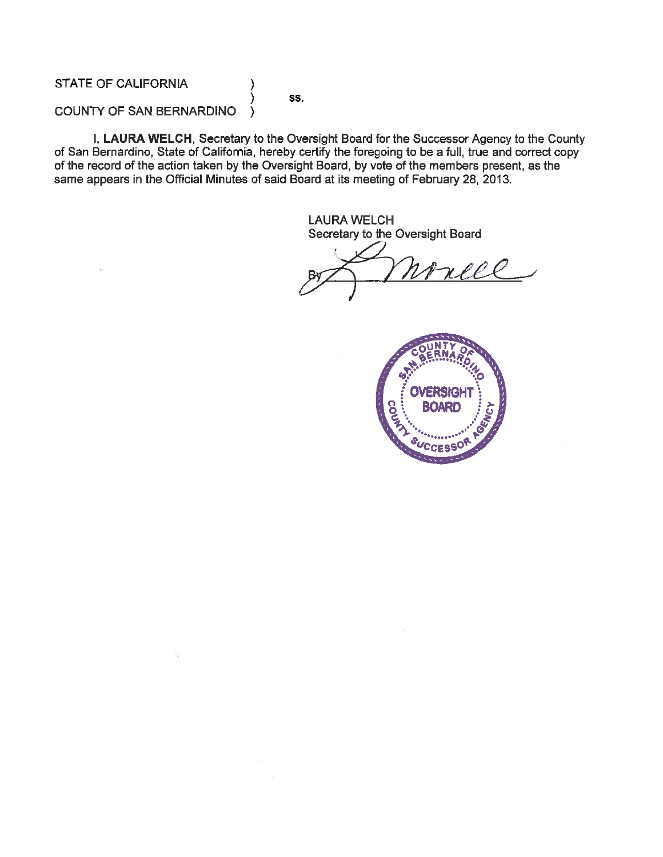**STATE OF CALIFORNIA** 

SS.

)

### COUNTY OF SAN BERNARDINO

I, LAURA WELCH, Secretary to the Oversight Board for the Successor Agency to the County of San Bernardino, State of California, hereby certify the foregoing to be a full, true and correct copy of the record of the action taken by the Oversight Board, by vote of the members present, as the same appears in the Official Minutes of said Board at its meeting of February 28, 2013.

> **LAURA WELCH** Secretary to the Oversight Board

rece

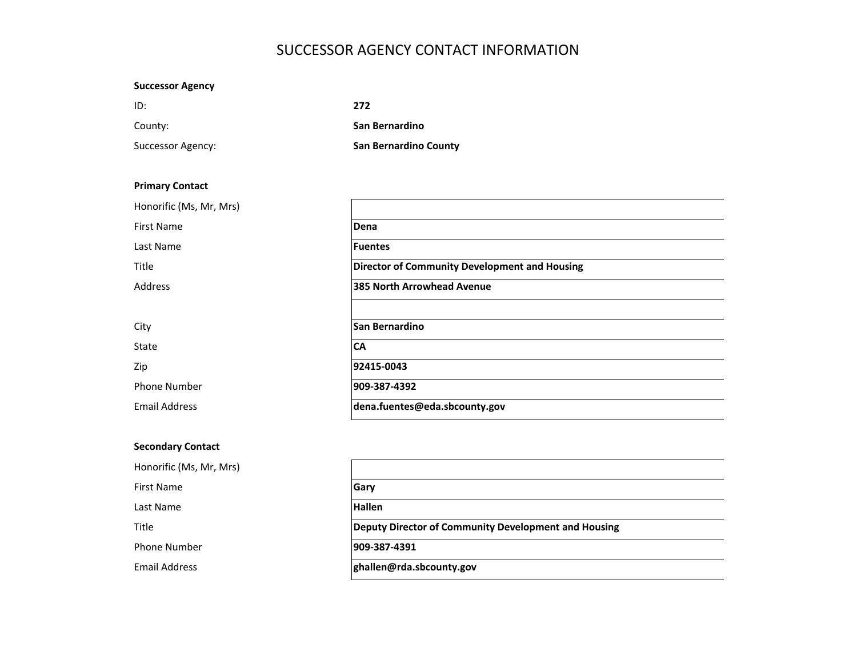## SUCCESSOR AGENCY CONTACT INFORMATION

### **Successor Agency**

| ID:               | 272                          |
|-------------------|------------------------------|
| County:           | San Bernardino               |
| Successor Agency: | <b>San Bernardino County</b> |

### **Primary Contact**

| Honorific (Ms, Mr, Mrs) |                                                      |
|-------------------------|------------------------------------------------------|
| <b>First Name</b>       | Dena                                                 |
| Last Name               | <b>Fuentes</b>                                       |
| Title                   | <b>Director of Community Development and Housing</b> |
| Address                 | 385 North Arrowhead Avenue                           |
|                         |                                                      |
| City                    | <b>San Bernardino</b>                                |
| State                   | <b>CA</b>                                            |
| Zip                     | 92415-0043                                           |
| <b>Phone Number</b>     | 909-387-4392                                         |
| <b>Email Address</b>    | dena.fuentes@eda.sbcounty.gov                        |

### **Secondary Contact**

Title

| Honorific (Ms, Mr, Mrs) |                                                      |
|-------------------------|------------------------------------------------------|
| First Name              | Gary                                                 |
| Last Name               | <b>Hallen</b>                                        |
| <b>Title</b>            | Deputy Director of Community Development and Housing |
| Phone Number            | 909-387-4391                                         |
| Email Address           | ghallen@rda.sbcounty.gov                             |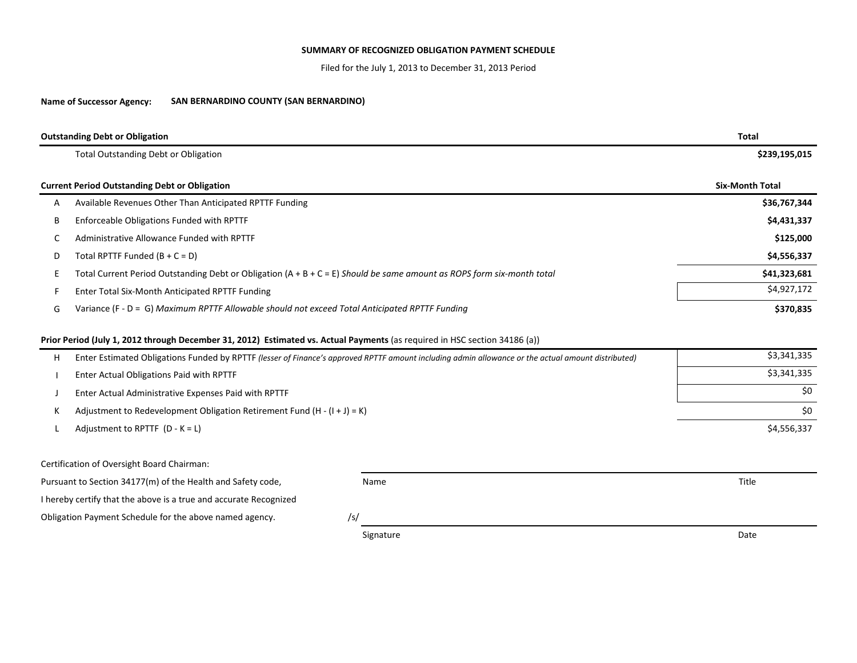#### **SUMMARY OF RECOGNIZED OBLIGATION PAYMENT SCHEDULE**

Filed for the July 1, 2013 to December 31, 2013 Period

#### **Name of Successor Agency: SAN BERNARDINO COUNTY (SAN BERNARDINO)**

|   | <b>Outstanding Debt or Obligation</b>                                                                                                              |  | <b>Total</b>           |  |  |
|---|----------------------------------------------------------------------------------------------------------------------------------------------------|--|------------------------|--|--|
|   | <b>Total Outstanding Debt or Obligation</b>                                                                                                        |  | \$239,195,015          |  |  |
|   | <b>Current Period Outstanding Debt or Obligation</b>                                                                                               |  | <b>Six-Month Total</b> |  |  |
| A | Available Revenues Other Than Anticipated RPTTF Funding                                                                                            |  | \$36,767,344           |  |  |
| B | Enforceable Obligations Funded with RPTTF                                                                                                          |  | \$4,431,337            |  |  |
| C | Administrative Allowance Funded with RPTTF                                                                                                         |  | \$125,000              |  |  |
| D | Total RPTTF Funded $(B + C = D)$                                                                                                                   |  | \$4,556,337            |  |  |
| E | Total Current Period Outstanding Debt or Obligation $(A + B + C = E)$ Should be same amount as ROPS form six-month total                           |  | \$41,323,681           |  |  |
|   | Enter Total Six-Month Anticipated RPTTF Funding                                                                                                    |  | \$4,927,172            |  |  |
| G | Variance (F - D = G) Maximum RPTTF Allowable should not exceed Total Anticipated RPTTF Funding                                                     |  |                        |  |  |
|   | Prior Period (July 1, 2012 through December 31, 2012) Estimated vs. Actual Payments (as required in HSC section 34186 (a))                         |  | \$3,341,335            |  |  |
| н | Enter Estimated Obligations Funded by RPTTF (lesser of Finance's approved RPTTF amount including admin allowance or the actual amount distributed) |  | \$3,341,335            |  |  |
|   | Enter Actual Obligations Paid with RPTTF                                                                                                           |  |                        |  |  |
|   | Enter Actual Administrative Expenses Paid with RPTTF                                                                                               |  | \$0                    |  |  |
|   | Adjustment to Redevelopment Obligation Retirement Fund $(H - (I + J) = K)$                                                                         |  | \$0                    |  |  |
|   | Adjustment to RPTTF $(D - K = L)$                                                                                                                  |  | \$4,556,337            |  |  |
|   | Certification of Oversight Board Chairman:                                                                                                         |  |                        |  |  |
|   | Pursuant to Section 34177(m) of the Health and Safety code,<br>Name                                                                                |  | Title                  |  |  |
|   | I hereby certify that the above is a true and accurate Recognized                                                                                  |  |                        |  |  |
|   | Obligation Payment Schedule for the above named agency.<br>/s/                                                                                     |  |                        |  |  |

Signature Date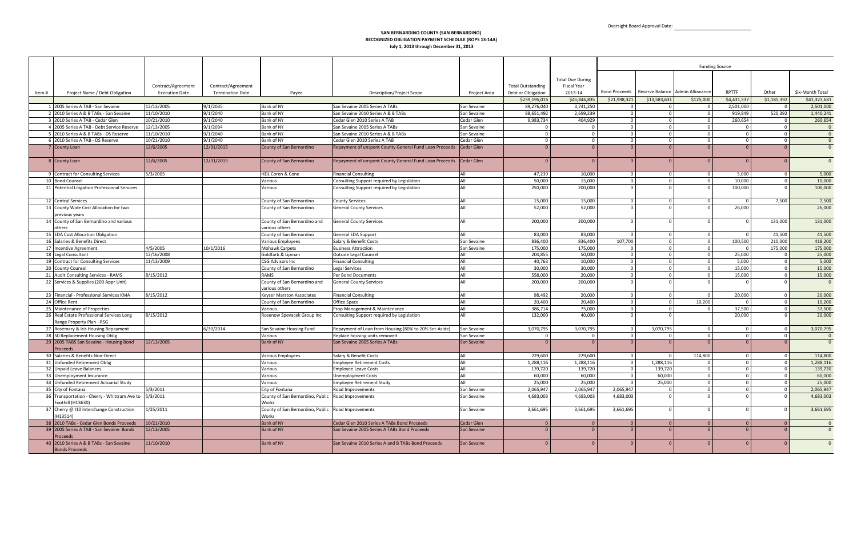|        |                                                                  |                       |                         |                                                    |                                                                     |                   |                          |                         |                |                                               |                | <b>Funding Source</b> |                |                 |
|--------|------------------------------------------------------------------|-----------------------|-------------------------|----------------------------------------------------|---------------------------------------------------------------------|-------------------|--------------------------|-------------------------|----------------|-----------------------------------------------|----------------|-----------------------|----------------|-----------------|
|        |                                                                  |                       |                         |                                                    |                                                                     |                   |                          |                         |                |                                               |                |                       |                |                 |
|        |                                                                  |                       |                         |                                                    |                                                                     |                   |                          | <b>Total Due During</b> |                |                                               |                |                       |                |                 |
|        |                                                                  | Contract/Agreement    | Contract/Agreement      |                                                    |                                                                     |                   | <b>Total Outstanding</b> | Fiscal Year             |                |                                               |                |                       |                |                 |
| ltem # | Project Name / Debt Obligation                                   | <b>Execution Date</b> | <b>Termination Date</b> | Payee                                              | Description/Project Scope                                           | Project Area      | Debt or Obligation       | 2013-14                 |                | Bond Proceeds Reserve Balance Admin Allowance |                | <b>RPTTF</b>          | Other          | Six-Month Total |
|        |                                                                  |                       |                         |                                                    |                                                                     |                   | \$239,195,015            | \$45,846,835            | \$21,998,321   | \$13,583,631                                  | \$125,000      | \$4,431,337           | \$1,185,392    | \$41,323,681    |
|        | 1 2005 Series A TAB - San Sevaine                                | 12/13/2005            | 9/1/2035                | Bank of NY                                         | San Sevaine 2005 Series A TABs                                      | San Sevaine       | 89,276,040               | 3,741,250               |                | $\Omega$                                      |                | 2,501,000             | $\Omega$       | 2,501,000       |
|        | 2 2010 Series A & B TABs - San Sevaine                           | 11/10/2010            | 9/1/2040                | Bank of NY                                         | San Sevaine 2010 Series A & B TABs                                  | San Sevaine       | 88,651,492               | 2,699,239               | $\Omega$       | $\Omega$                                      | $\Omega$       | 919,849               | 520,392        | 1,440,241       |
|        | 3 2010 Series A TAB - Cedar Glen                                 | 10/21/2010            | 9/1/2040                | Bank of NY                                         | Cedar Glen 2010 Series A TAB                                        | Cedar Glen        | 9,983,734                | 404,929                 | $\Omega$       | $\Omega$                                      | $\Omega$       | 260,654               | $\circ$        | 260,654         |
|        | 4 2005 Series A TAB - Debt Service Reserve                       | 12/13/2005            | 9/1/2034                | Bank of NY                                         | San Sevaine 2005 Series A TABs                                      | San Sevaine       | $\Omega$                 | $\Omega$                | $\mathbf{0}$   | $\overline{0}$                                | $\Omega$       | - 0                   | $\overline{0}$ | $\overline{0}$  |
|        | 5 2010 Series A & B TABs - DS Reserve                            | 11/10/2010            | 9/1/2040                | Bank of NY                                         | San Sevaine 2010 Series A & B TABs                                  | San Sevaine       | $\Omega$                 | $\Omega$                | $\Omega$       | $\overline{0}$                                | $\Omega$       | $\Omega$              | $\overline{0}$ | $\overline{0}$  |
|        | 6 2010 Series A TAB - DS Reserve                                 | 10/21/2010            | 9/1/2040                | Bank of NY                                         | Cedar Glen 2010 Series A TAB                                        | Cedar Glen        | $\Omega$                 | $\Omega$                | $\Omega$       | $\Omega$                                      |                |                       | $\Omega$       | $\overline{0}$  |
|        | 7 County Loan                                                    | 12/6/2005             | 12/31/2015              | County of San Bernardino                           | Repayment of unspent County General Fund Loan Proceeds   Cedar Glen |                   | $\overline{0}$           | $\Omega$                | $\Omega$       | $\overline{0}$                                |                | $\Omega$              | $\Omega$       | $\overline{0}$  |
|        |                                                                  |                       |                         |                                                    |                                                                     |                   |                          |                         |                |                                               |                |                       |                |                 |
|        | 8 County Loan                                                    | 12/6/2005             | 12/31/2015              | County of San Bernardino                           | Repayment of unspent County General Fund Loan Proceeds   Cedar Glen |                   |                          | $\Omega$                | $\Omega$       |                                               |                | $\Omega$              |                | $\overline{0}$  |
|        |                                                                  |                       |                         |                                                    |                                                                     |                   |                          |                         |                |                                               |                |                       |                |                 |
|        | 9 Contract for Consulting Services                               | 5/3/2005              |                         | HDL Coren & Cone                                   | <b>Financial Consulting</b>                                         | All               | 47,239                   | 10,000                  | $\Omega$       | $\Omega$                                      |                | 5,000                 | $\Omega$       | 5,000           |
|        | 10 Bond Counsel                                                  |                       |                         | Various                                            | Consulting Support required by Legislation                          | All               | 50,000                   | 15,000                  | $\mathbf 0$    | $\Omega$                                      | $\Omega$       | 10,000                | $\circ$        | 10,000          |
|        | 11 Potential Litigation Professional Services                    |                       |                         | Various                                            | Consulting Support required by Legislation                          | All               | 250,000                  | 200,000                 | $\Omega$       | $\Omega$                                      |                | 100,000               | $\Omega$       | 100,000         |
|        |                                                                  |                       |                         |                                                    |                                                                     |                   |                          |                         |                |                                               |                |                       |                |                 |
|        | 12 Central Services                                              |                       |                         | County of San Bernardino                           | <b>County Services</b>                                              | All               | 15,000                   | 15,000                  | $\Omega$       | $\overline{0}$                                | $\Omega$       | - 0                   | 7,500          | 7,500           |
|        | 13 County Wide Cost Allocation for two                           |                       |                         | County of San Bernardino                           | <b>General County Services</b>                                      | All               | 52,000                   | 52,000                  |                | $\Omega$                                      |                | 26,000                |                | 26,000          |
|        | previous years                                                   |                       |                         |                                                    |                                                                     |                   |                          |                         |                |                                               |                |                       |                |                 |
|        | 14 County of San Bernardino and various                          |                       |                         | County of San Bernardino and                       | <b>General County Services</b>                                      | All               | 200,000                  | 200,000                 | $\Omega$       | $\Omega$                                      |                | $\Omega$              | 131,000        | 131,000         |
|        | others                                                           |                       |                         | various others                                     |                                                                     |                   |                          |                         |                |                                               |                |                       |                |                 |
|        | 15 EDA Cost Allocation Obligation                                |                       |                         | County of San Bernardino                           | <b>General EDA Support</b>                                          | All               | 83,000                   | 83,000                  | $\Omega$       | $\mathbf 0$                                   | $\Omega$       | - 0                   | 41,500         | 41,500          |
|        | 16 Salaries & Benefits Direct                                    |                       |                         | <b>Various Employees</b>                           | Salary & Benefit Costs                                              | San Sevaine       | 836,400                  | 836,400                 | 107,700        | $\Omega$                                      |                | 100,500               | 210,000        | 418,200         |
|        | 17 Incentive Agreement                                           | 4/5/2005              | 10/1/2016               | <b>Mohawk Carpets</b>                              | <b>Business Attraction</b>                                          | San Sevaine       | 175,000                  | 175,000                 | $\Omega$       | $\Omega$                                      | $\Omega$       | - 0                   | 175,000        | 175,000         |
|        | 18 Legal Consultant                                              | 12/16/2008            |                         | Goldfarb & Lipman                                  | <b>Outside Legal Counsel</b>                                        | ΔII               | 204,855                  | 50,000                  | $\Omega$       | $\Omega$                                      | $\Omega$       | 25,000                | $\circ$        | 25,000          |
|        | 19 Contract for Consulting Services                              | 11/13/2009            |                         | <b>CSG Advisors Inc</b>                            | <b>Financial Consulting</b>                                         | All               | 40,763                   | 10,000                  | $\mathbf{0}$   | $\overline{0}$                                | $\Omega$       | 5,000                 | $\overline{0}$ | 5,000           |
|        | 20 County Counsel                                                |                       |                         | County of San Bernardino                           | Legal Services                                                      | All               | 30,000                   | 30,000                  | $\Omega$       | $\overline{0}$                                | $\Omega$       | 15,000                | $\circ$        | 15,000          |
|        | 21 Audit Consulting Services - RAMS                              | 8/15/2012             |                         | RAMS                                               | Per Bond Documents                                                  | All               | 558,000                  | 20,000                  | - 0            | $\Omega$                                      |                | 15,000                | $\Omega$       | 15,000          |
|        | 22 Services & Supplies (200 Appr Unit)                           |                       |                         | County of San Bernardino and                       | <b>General County Services</b>                                      | All               | 200,000                  | 200,000                 | $\Omega$       | $\Omega$                                      |                |                       | $\Omega$       | $\overline{0}$  |
|        |                                                                  |                       |                         | various others                                     |                                                                     |                   |                          |                         |                |                                               |                |                       |                |                 |
|        | 23 Financial - Professional Services KMA                         | 8/15/2012             |                         | <b>Keyser Marston Associates</b>                   | <b>Financial Consulting</b>                                         | All               | 98,492                   | 20,000                  | $\mathbf 0$    | $\overline{0}$                                | $\overline{0}$ | 20,000                | $\overline{0}$ | 20,000          |
|        | 24 Office Rent                                                   |                       |                         | County of San Bernardino                           | Office Space                                                        | All               | 20,400                   | 20,400                  | $\Omega$       | $\overline{0}$                                | 10,200         |                       | $\circ$        | 10,200          |
|        | 25 Maintenance of Properties                                     |                       |                         | Various                                            | Prop Management & Maintenance                                       | All               | 386,714                  | 75,000                  |                | $\Omega$                                      |                | 37,500                | $\Omega$       | 37,500          |
|        | 26 Real Estate Professional Services Long                        | 8/15/2012             |                         | Rosenow Spevacek Group Inc                         | Consulting Support required by Legislation                          | All               | 132,000                  | 40,000                  | $\Omega$       | $\Omega$                                      |                | 20,000                | $\Omega$       | 20,000          |
|        | Range Property Plan - RSG                                        |                       |                         |                                                    |                                                                     |                   |                          |                         |                |                                               |                |                       |                |                 |
|        | 27 Rosemary & Iris Housing Repayment                             |                       | 6/30/2014               | San Sevaine Housing Fund                           | Repayment of Loan from Housing (80% to 20% Set-Aside)               | San Sevaine       | 3,070,795                | 3,070,795               | $\mathbf 0$    | 3,070,795                                     | $\Omega$       | $\Omega$              | $\overline{0}$ | 3,070,795       |
|        | 28 50 Replacement Housing Oblig                                  |                       |                         | Various                                            | Replace housing units removed                                       | San Sevaine       | $\Omega$                 | $\Omega$                | $\Omega$       | $\Omega$                                      | $\Omega$       | $\Omega$              | $\circ$        | $\overline{0}$  |
|        | 29 2005 TABS San Sevaine - Housing Bond                          | 12/13/2005            |                         | <b>Bank of NY</b>                                  | San Sevaine 2005 Series A TABs                                      | San Sevaine       |                          | $\Omega$                | $\Omega$       |                                               |                |                       | $\Omega$       | $\overline{0}$  |
|        | Proceeds                                                         |                       |                         |                                                    |                                                                     |                   |                          |                         |                |                                               |                |                       |                |                 |
|        | 30 Salaries & Benefits Non-Direct                                |                       |                         | <b>Various Employees</b>                           | Salary & Benefit Costs                                              | All               | 229,600                  | 229,600                 | $\Omega$       | $\Omega$                                      | 114,800        | $\Omega$              | $\circ$        | 114,800         |
|        | 31 Unfunded Retirement Oblig                                     |                       |                         | Various                                            | <b>Employee Retirement Costs</b>                                    | All               | 1,288,116                | 1,288,116               | $\overline{0}$ | 1,288,116                                     | $\Omega$       | $\Omega$              | $\overline{0}$ | 1,288,116       |
|        | 32 Unpaid Leave Balances                                         |                       |                         | Various                                            | <b>Employee Leave Costs</b>                                         |                   | 139,720                  | 139,720                 | $\mathbf 0$    | 139,720                                       |                |                       | $\overline{0}$ | 139,720         |
|        | 33 Unemployment Insurance                                        |                       |                         | Various                                            | Unemployment Costs                                                  | All               | 60,000                   | 60,000                  |                | 60,000                                        |                |                       | $\Omega$       | 60,000          |
|        | 34 Unfunded Retirement Actuarial Study                           |                       |                         | Various                                            | <b>Employee Retirement Study</b>                                    | All               | 25,000                   | 25,000                  | $\Omega$       | 25,000                                        |                | $\Omega$              | $\overline{0}$ | 25,000          |
|        | 35 City of Fontana                                               | 5/3/2011              |                         | City of Fontana                                    | Road Improvements                                                   | San Sevaine       | 2,065,947                | 2,065,947               | 2,065,947      | $\Omega$                                      | $\Omega$       | $\Omega$              | $\overline{0}$ | 2,065,947       |
|        | 36 Transportation - Cherry - Whittram Ave to                     | 5/3/2011              |                         | County of San Bernardino, Public                   | Road Improvements                                                   | San Sevaine       | 4,683,003                | 4,683,003               | 4,683,003      | $\Omega$                                      |                |                       | $\Omega$       | 4,683,003       |
|        | Foothill (H13630)                                                |                       |                         | Works                                              |                                                                     |                   |                          |                         |                |                                               |                |                       |                |                 |
|        | 37 Cherry @ I10 Interchange Construction                         | 1/25/2011             |                         | County of San Bernardino, Public Road Improvements |                                                                     | San Sevaine       | 3,661,695                | 3,661,695               | 3,661,695      | $\overline{0}$                                |                |                       | $\Omega$       | 3,661,695       |
|        | (H13514)                                                         |                       |                         | Works                                              |                                                                     |                   |                          |                         |                |                                               |                |                       |                |                 |
|        | 38 2010 TABs - Cedar Glen Bonds Proceeds                         | 10/21/2010            |                         | <b>Bank of NY</b>                                  | Cedar Glen 2010 Series A TABs Bond Proceeds                         | <b>Cedar Glen</b> | $\Omega$                 | $\Omega$                | $\mathbf{0}$   | $\overline{0}$                                | $\Omega$       | $\Omega$              | $\overline{0}$ | $\overline{0}$  |
|        | 39 2005 Series A TAB - San Sevaine Bonds                         | 12/13/2005            |                         | <b>Bank of NY</b>                                  | San Sevaine 2005 Series A TABs Bond Proceeds                        | San Sevaine       |                          |                         | $\Omega$       | $\Omega$                                      |                |                       |                | $\overline{0}$  |
|        | Proceeds                                                         |                       |                         |                                                    |                                                                     |                   |                          |                         |                |                                               |                |                       |                |                 |
|        | 40 2010 Series A & B TABs - San Sevaine<br><b>Bonds Proceeds</b> | 11/10/2010            |                         | <b>Bank of NY</b>                                  | San Sevaine 2010 Series A and B TABs Bond Proceeds                  | San Sevaine       |                          |                         | $\mathbf{0}$   | $\Omega$                                      |                | - 0                   |                | $\overline{0}$  |
|        |                                                                  |                       |                         |                                                    |                                                                     |                   |                          |                         |                |                                               |                |                       |                |                 |

#### **SAN BERNARDINO COUNTY (SAN BERNARDINO) RECOGNIZED OBLIGATION PAYMENT SCHEDULE (ROPS 13‐14A) July 1, 2013 through December 31, 2013**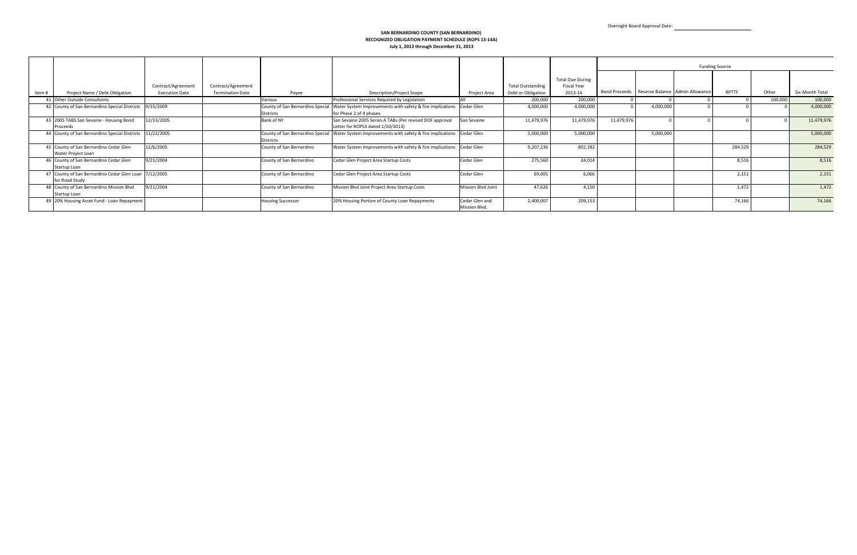#### **SAN BERNARDINO COUNTY (SAN BERNARDINO) RECOGNIZED OBLIGATION PAYMENT SCHEDULE (ROPS 13‐14A) July 1, 2013 through December 31, 2013**

|        |                                                                         |                                             |                                               |                          |                                                                                                                                   |                                 |                                                |                                                          |            |           | <b>Funding Source</b>                         |              |         |                 |
|--------|-------------------------------------------------------------------------|---------------------------------------------|-----------------------------------------------|--------------------------|-----------------------------------------------------------------------------------------------------------------------------------|---------------------------------|------------------------------------------------|----------------------------------------------------------|------------|-----------|-----------------------------------------------|--------------|---------|-----------------|
| Item # | Project Name / Debt Obligation                                          | Contract/Agreement<br><b>Execution Date</b> | Contract/Agreement<br><b>Termination Date</b> | Payee                    | Description/Project Scope                                                                                                         | Project Area                    | <b>Total Outstanding</b><br>Debt or Obligation | <b>Total Due During</b><br><b>Fiscal Year</b><br>2013-14 |            |           | Bond Proceeds Reserve Balance Admin Allowance | <b>RPTTF</b> | Other   | Six-Month Total |
|        | 41 Other Outside Consultants                                            |                                             |                                               | Various                  | Professional Services Required by Legislation                                                                                     |                                 | 200,000                                        | 200,000                                                  |            |           |                                               |              | 100,000 | 100,000         |
|        | 42 County of San Bernardino Special Districts                           | 9/15/2009                                   |                                               | <b>Districts</b>         | County of San Bernardino Special Water System Improvements with safety & fire implications Cedar Glen<br>for Phase 2 of 4 phases. |                                 | 4,000,000                                      | 4,000,000                                                |            | 4,000,000 |                                               |              |         | 4,000,000       |
|        | 43 2005 TABS San Sevaine - Housing Bond<br>Proceeds                     | 12/13/2005                                  |                                               | Bank of NY               | San Sevaine 2005 Series A TABs (Per revised DOF approval<br>Letter for ROPS3 dated 1/10/2013)                                     | San Sevaine                     | 11,479,976                                     | 11,479,976                                               | 11,479,976 |           |                                               |              |         | 11,479,976      |
|        | 44 County of San Bernardino Special Districts                           | 11/22/2005                                  |                                               | <b>Districts</b>         | County of San Bernardino Special Water System Improvements with safety & fire implications Cedar Glen                             |                                 | 5,000,000                                      | 5,000,000                                                |            | 5,000,000 |                                               |              |         | 5,000,000       |
|        | 45 County of San Bernardino Cedar Glen<br>Water Project Loan            | 12/6/2005                                   |                                               | County of San Bernardino | Water System Improvements with safety & fire implications Cedar Glen                                                              |                                 | 9,207,236                                      | 802,382                                                  |            |           |                                               | 284,529      |         | 284,529         |
|        | 46 County of San Bernardino Cedar Glen<br>Startup Loan                  | 9/21/2004                                   |                                               | County of San Bernardino | Cedar Glen Project Area Startup Costs                                                                                             | Cedar Glen                      | 275,560                                        | 24,014                                                   |            |           |                                               | 8,516        |         | 8,516           |
|        | 47 County of San Bernardino Cedar Glen Loan 7/12/2005<br>for Road Study |                                             |                                               | County of San Bernardino | Cedar Glen Project Area Startup Costs                                                                                             | Cedar Glen                      | 69,605                                         | 6,066                                                    |            |           |                                               | 2,151        |         | 2,151           |
|        | 48 County of San Bernardino Mission Blvd<br>Startup Loan                | 9/21/2004                                   |                                               | County of San Bernardino | Mission Blvd Joint Project Area Startup Costs                                                                                     | <b>Mission Blvd Joint</b>       | 47,626                                         | 4,150                                                    |            |           |                                               | 1,472        |         | 1,472           |
|        | 49 20% Housing Asset Fund - Loan Repayment                              |                                             |                                               | <b>Housing Successor</b> | 20% Housing Portion of County Loan Repayments                                                                                     | Cedar Glen and<br>Mission Blvd. | 2,400,007                                      | 209,153                                                  |            |           |                                               | 74,166       |         | 74,166          |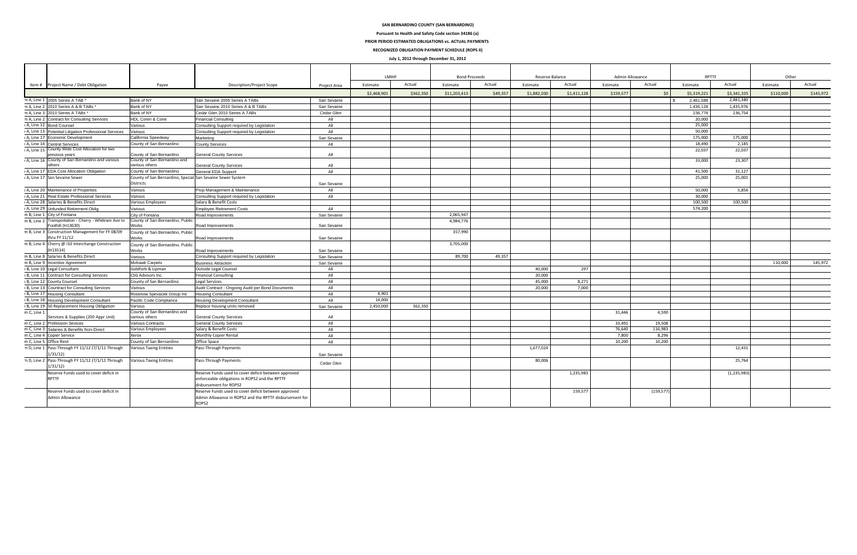|                     |                                                                            |                                                            |                                                         |              | LMIHF       |           | <b>Bond Proceeds</b> |          | Reserve Balance |             | Admin Allowance |            | <b>RPTTF</b>            |               | Other     |           |
|---------------------|----------------------------------------------------------------------------|------------------------------------------------------------|---------------------------------------------------------|--------------|-------------|-----------|----------------------|----------|-----------------|-------------|-----------------|------------|-------------------------|---------------|-----------|-----------|
|                     | Item # Project Name / Debt Obligation                                      | Payee                                                      | <b>Description/Project Scope</b>                        | Project Area | Estimate    | Actual    | Estimate             | Actual   | Estimate        | Actual      | Estimate        | Actual     | Estimate                | Actual        | Estimate  | Actual    |
|                     |                                                                            |                                                            |                                                         |              | \$2,468,901 | \$362,350 | \$11,203,413         | \$49,357 | \$1,882,030     | \$1,411,128 | \$159,577       | \$0        | \$5,319,221             | \$3,341,33    | \$110,000 | \$145,972 |
|                     | m A, Line 1 2005 Series A TAB *                                            | Bank of NY                                                 | San Sevaine 2005 Series A TABs                          | San Sevaine  |             |           |                      |          |                 |             |                 |            | 2.481.588<br>$\sqrt{s}$ | 2,481,380     |           |           |
|                     | m A. Line 2 2010 Series A & B TABs *                                       | Bank of NY                                                 | San Sevaine 2010 Series A & B TABs                      | San Sevaine  |             |           |                      |          |                 |             |                 |            | 1,436,128               | 1.435.976     |           |           |
|                     | m A, Line 3 2010 Series A TABs *                                           | Bank of NY                                                 | Cedar Glen 2010 Series A TABs                           | Cedar Glen   |             |           |                      |          |                 |             |                 |            | 236,778                 | 236,754       |           |           |
| m A, Line 2         | <b>Contract for Consulting Services</b>                                    | HDL Coren & Cone                                           | <b>Financial Consulting</b>                             | All          |             |           |                      |          |                 |             |                 |            | 20,000                  |               |           |           |
| A, Line 12          | <b>Bond Counsel</b>                                                        | Various                                                    | Consulting Support required by Legislation              | All          |             |           |                      |          |                 |             |                 |            | 25,000                  |               |           |           |
| A, Line 13          | Potential Litigation Professional Services                                 | Various                                                    | Consulting Support required by Legislation              | All          |             |           |                      |          |                 |             |                 |            | 50,000                  |               |           |           |
| A, Line 17          | conomic Development                                                        | California Speedway                                        | Marketing                                               | San Sevaine  |             |           |                      |          |                 |             |                 |            | 175,000                 | 175,000       |           |           |
| A, Line 14          | entral Services <sup>*</sup>                                               | County of San Bernardino                                   | <b>County Services</b>                                  | All          |             |           |                      |          |                 |             |                 |            | 18,490                  | 2,185         |           |           |
| A, Line 15          | County Wide Cost Allocation for two                                        |                                                            |                                                         |              |             |           |                      |          |                 |             |                 |            | 22,037                  | 22,037        |           |           |
|                     | revious years                                                              | County of San Bernardino                                   | <b>General County Services</b>                          | All          |             |           |                      |          |                 |             |                 |            |                         |               |           |           |
| ı A, Line 16        | County of San Bernardino and various                                       | County of San Bernardino and                               |                                                         |              |             |           |                      |          |                 |             |                 |            | 33,000                  | 23,307        |           |           |
|                     | thers                                                                      | various others                                             | <b>General County Services</b>                          | All          |             |           |                      |          |                 |             |                 |            |                         |               |           |           |
| I A. Line 17        | <b>EDA Cost Allocation Obligation</b>                                      | County of San Bernardino                                   | General EDA Support                                     | All          |             |           |                      |          |                 |             |                 |            | 41.500                  | 31.127        |           |           |
|                     | I A, Line 17 San Sevaine Sewer                                             | County of San Bernardino, Special San Sevaine Sewer System |                                                         |              |             |           |                      |          |                 |             |                 |            | 25,000                  | 25,001        |           |           |
|                     |                                                                            | <b>Districts</b>                                           |                                                         | San Sevaine  |             |           |                      |          |                 |             |                 |            |                         |               |           |           |
| A, Line 20          | Maintenance of Properties                                                  | Various                                                    | Prop Management & Maintenance                           | All          |             |           |                      |          |                 |             |                 |            | 50,000                  | 5,856         |           |           |
|                     | A, Line 21 Real Estate Professional Services                               | Various                                                    | Consulting Support required by Legislation              | All          |             |           |                      |          |                 |             |                 |            | 30,000                  |               |           |           |
| A. Line 28          | Salaries & Benefits Direct                                                 | Various Employees                                          | Salary & Benefit Costs                                  |              |             |           |                      |          |                 |             |                 |            | 100.500                 | 100,500       |           |           |
| A, Line 29          | <b>Infunded Retirement Oblig</b>                                           | Various                                                    | <b>Emplovee Retirement Costs</b>                        | All          |             |           |                      |          |                 |             |                 |            | 574,200                 |               |           |           |
| m B, Line 1         | City of Fontana                                                            | City of Fontana                                            | Road Improvements                                       | San Sevaine  |             |           | 2,065,947            |          |                 |             |                 |            |                         |               |           |           |
| m B. Line 2         | Transportation - Cherry - Whittram Ave to County of San Bernardino, Public |                                                            |                                                         |              |             |           | 4,984,776            |          |                 |             |                 |            |                         |               |           |           |
|                     | oothill (H13630)                                                           | Works                                                      | Road Improvements                                       | San Sevaine  |             |           |                      |          |                 |             |                 |            |                         |               |           |           |
| m B, Line 3         | Construction Management for FY 08/09                                       | County of San Bernardino, Public                           |                                                         |              |             |           | 357,990              |          |                 |             |                 |            |                         |               |           |           |
|                     | hru FY 11/12                                                               | Works                                                      | Road Improvements                                       | San Sevaine  |             |           |                      |          |                 |             |                 |            |                         |               |           |           |
| m B, Line 4         | Cherry @ I10 Interchange Construction                                      | County of San Bernardino, Public                           |                                                         |              |             |           | 3,705,000            |          |                 |             |                 |            |                         |               |           |           |
|                     | 113514)                                                                    | Works                                                      | Road Improvements                                       | San Sevaine  |             |           |                      |          |                 |             |                 |            |                         |               |           |           |
| m B, Line 8         | Salaries & Benefits Direct                                                 | Various                                                    | Consulting Support required by Legislation              | San Sevaine  |             |           | 89,700               | 49,357   |                 |             |                 |            |                         |               |           |           |
| m B, Line 9         | Incentive Agreement                                                        | <b>Mohawk Carpets</b>                                      | <b>Business Attraction</b>                              | San Sevaine  |             |           |                      |          |                 |             |                 |            |                         |               | 110,000   | 145,972   |
| <b>B</b> , Line 10  | egal Consultant                                                            | Goldfarb & Lipman                                          | <b>Outside Legal Counsel</b>                            | All          |             |           |                      |          | 40,000          | 297         |                 |            |                         |               |           |           |
| <b>1B</b> , Line 11 | <b>Contract for Consulting Services</b>                                    | CSG Advisors Inc.                                          | <b>Financial Consulting</b>                             | All          |             |           |                      |          | 20,000          |             |                 |            |                         |               |           |           |
| B, Line 12          | County Counsel                                                             | County of San Bernardino                                   | Legal Services                                          | All          |             |           |                      |          | 45,000          | 8,271       |                 |            |                         |               |           |           |
| <b>B</b> , Line 13  | <b>Countract for Consulting Services</b>                                   | Various                                                    | Audit Contract - Ongoing Audit per Bond Documents       | All          |             |           |                      |          | 20,000          | 7,000       |                 |            |                         |               |           |           |
|                     | B, Line 17 Housing Consultant                                              | Rosenow Spevacek Group Inc                                 | <b>Housing Consultant</b>                               | All          | 4.901       |           |                      |          |                 |             |                 |            |                         |               |           |           |
|                     | B, Line 18 Housing Development Consultant                                  | Pacific Code Compliance                                    | Housing Development Consultant                          | All          | 14,000      |           |                      |          |                 |             |                 |            |                         |               |           |           |
|                     | B, Line 19 50 Replacement Housing Obligation                               | Various                                                    | Replace housing units removed                           | San Sevaine  | 2.450.000   | 362.350   |                      |          |                 |             |                 |            |                         |               |           |           |
| m C, Line 1         |                                                                            | County of San Bernardino and                               |                                                         |              |             |           |                      |          |                 |             | 31,446          | 4,590      |                         |               |           |           |
|                     | Services & Supplies (200 Appr Unit)                                        | various others                                             | <b>General County Services</b>                          | All          |             |           |                      |          |                 |             |                 |            |                         |               |           |           |
|                     | m C, Line 2 Profession Sevices                                             | <b>Various Contracts</b>                                   | <b>General County Services</b>                          | All          |             |           |                      |          |                 |             | 33,491          | 19.508     |                         |               |           |           |
| m C, Line 3         | Salaries & Benefits Non-Direct                                             | Various Employees                                          | Salary & Benefit Costs                                  | All          |             |           |                      |          |                 |             | 76,640          | 116.983    |                         |               |           |           |
| m C, Line 4         | Copier Service                                                             | Xerox                                                      | <b>Monthly Copier Rental</b>                            | All          |             |           |                      |          |                 |             | 7,800           | 8,296      |                         |               |           |           |
| m C, Line 5         | Office Rent                                                                | County of San Bernardino                                   | Office Space                                            | All          |             |           |                      |          |                 |             | 10,200          | 10,200     |                         |               |           |           |
| n D, Line 1         | Pass-Through FY 11/12 (7/1/11 Through                                      | <b>Various Taxing Entities</b>                             | Pass-Through Payments                                   |              |             |           |                      |          | 1,677,024       |             |                 |            |                         | 12,431        |           |           |
|                     | /31/12)                                                                    |                                                            |                                                         | San Sevaine  |             |           |                      |          |                 |             |                 |            |                         |               |           |           |
| n D, Line 2         | Pass-Through FY 11/12 (7/1/11 Through                                      | <b>Various Taxing Entities</b>                             | Pass-Through Payments                                   |              |             |           |                      |          | 80,006          |             |                 |            |                         | 25,764        |           |           |
|                     | /31/12)                                                                    |                                                            |                                                         | Cedar Glen   |             |           |                      |          |                 |             |                 |            |                         |               |           |           |
|                     | eserve Funds used to cover deficit in                                      |                                                            | Reserve Funds used to cover deficit between approved    |              |             |           |                      |          |                 | 1,235,983   |                 |            |                         | (1, 235, 983) |           |           |
|                     | RPTTF                                                                      |                                                            | enforceable obligations in ROPS2 and the RPTTF          |              |             |           |                      |          |                 |             |                 |            |                         |               |           |           |
|                     |                                                                            |                                                            | disbursement for ROPS2                                  |              |             |           |                      |          |                 |             |                 |            |                         |               |           |           |
|                     | Reserve Funds used to cover deficit in                                     |                                                            | Reserve Funds used to cover deficit between approved    |              |             |           |                      |          |                 | 159,577     |                 | (159, 577) |                         |               |           |           |
|                     | Admin Allowance                                                            |                                                            | Admin Allowance in ROPS2 and the RPTTF disbursement for |              |             |           |                      |          |                 |             |                 |            |                         |               |           |           |
|                     |                                                                            |                                                            | ROPS2                                                   |              |             |           |                      |          |                 |             |                 |            |                         |               |           |           |
|                     |                                                                            |                                                            |                                                         |              |             |           |                      |          |                 |             |                 |            |                         |               |           |           |

#### **SAN BERNARDINO COUNTY (SAN BERNARDINO)**

**July 1, 2012 through December 31, 2012 RECOGNIZED OBLIGATION PAYMENT SCHEDULE (ROPS II)**

**Pursuant to Health and Safety Code section 34186 (a)**

### **PRIOR PERIOD ESTIMATED OBLIGATIONS vs. ACTUAL PAYMENTS**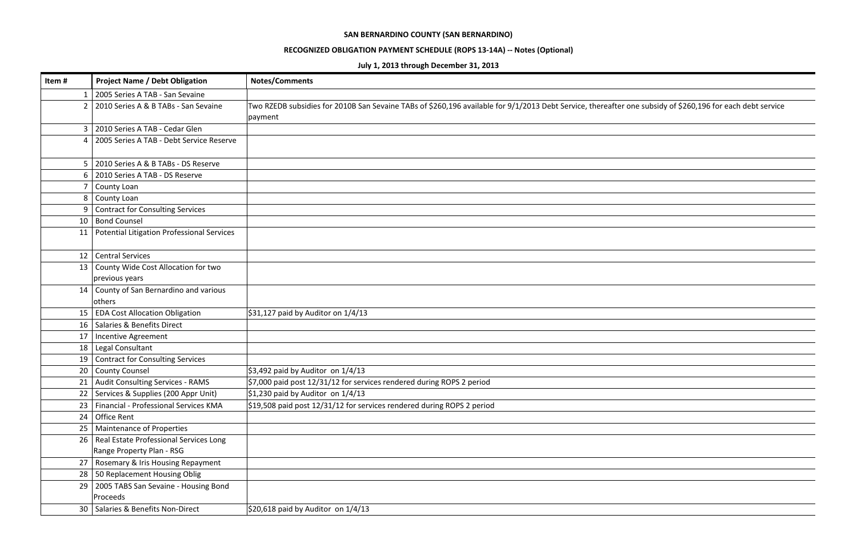| Item#           | <b>Project Name / Debt Obligation</b>          | <b>Notes/Comments</b>                                                                                                                                      |
|-----------------|------------------------------------------------|------------------------------------------------------------------------------------------------------------------------------------------------------------|
| 1               | 2005 Series A TAB - San Sevaine                |                                                                                                                                                            |
| $\overline{2}$  | 2010 Series A & B TABs - San Sevaine           | Two RZEDB subsidies for 2010B San Sevaine TABs of \$260,196 available for 9/1/2013 Debt Service, thereafter one subsidy of \$260,196 for each debt service |
|                 |                                                | payment                                                                                                                                                    |
| 3               | 2010 Series A TAB - Cedar Glen                 |                                                                                                                                                            |
| 4               | 2005 Series A TAB - Debt Service Reserve       |                                                                                                                                                            |
|                 |                                                |                                                                                                                                                            |
| 5               | 2010 Series A & B TABs - DS Reserve            |                                                                                                                                                            |
| 6               | 2010 Series A TAB - DS Reserve                 |                                                                                                                                                            |
| 7               | <b>County Loan</b>                             |                                                                                                                                                            |
| 8               | County Loan                                    |                                                                                                                                                            |
| 9               | <b>Contract for Consulting Services</b>        |                                                                                                                                                            |
| 10              | <b>Bond Counsel</b>                            |                                                                                                                                                            |
| 11              | Potential Litigation Professional Services     |                                                                                                                                                            |
|                 |                                                |                                                                                                                                                            |
| 12              | <b>Central Services</b>                        |                                                                                                                                                            |
| 13              | County Wide Cost Allocation for two            |                                                                                                                                                            |
| 14              | previous years                                 |                                                                                                                                                            |
|                 | County of San Bernardino and various<br>others |                                                                                                                                                            |
| 15              | <b>EDA Cost Allocation Obligation</b>          | \$31,127 paid by Auditor on $1/4/13$                                                                                                                       |
| 16 <sup>1</sup> | Salaries & Benefits Direct                     |                                                                                                                                                            |
| 17              | <b>Incentive Agreement</b>                     |                                                                                                                                                            |
| 18              | Legal Consultant                               |                                                                                                                                                            |
| 19              | <b>Contract for Consulting Services</b>        |                                                                                                                                                            |
| 20              | <b>County Counsel</b>                          | \$3,492 paid by Auditor on $1/4/13$                                                                                                                        |
|                 | 21   Audit Consulting Services - RAMS          | $\frac{1}{2}$ ,000 paid post 12/31/12 for services rendered during ROPS 2 period                                                                           |
| 22              | Services & Supplies (200 Appr Unit)            | $\frac{1}{2}$ 1,230 paid by Auditor on 1/4/13                                                                                                              |
| 23              | Financial - Professional Services KMA          | \$19,508 paid post $12/31/12$ for services rendered during ROPS 2 period                                                                                   |
| 24              | Office Rent                                    |                                                                                                                                                            |
| 25              | Maintenance of Properties                      |                                                                                                                                                            |
| 26              | Real Estate Professional Services Long         |                                                                                                                                                            |
|                 | Range Property Plan - RSG                      |                                                                                                                                                            |
| 27              | Rosemary & Iris Housing Repayment              |                                                                                                                                                            |
| 28              | 50 Replacement Housing Oblig                   |                                                                                                                                                            |
| 29              | 2005 TABS San Sevaine - Housing Bond           |                                                                                                                                                            |
|                 | Proceeds                                       |                                                                                                                                                            |
|                 | 30   Salaries & Benefits Non-Direct            | \$20,618 paid by Auditor on $1/4/13$                                                                                                                       |

| one subsidy of \$260,196 for each debt service |
|------------------------------------------------|
|                                                |
|                                                |
|                                                |
|                                                |
|                                                |
|                                                |
|                                                |
|                                                |
|                                                |
|                                                |
|                                                |
|                                                |
|                                                |
|                                                |
|                                                |
|                                                |
|                                                |
|                                                |
|                                                |
|                                                |
|                                                |
|                                                |
|                                                |
|                                                |
|                                                |
|                                                |
|                                                |
|                                                |
|                                                |
|                                                |
|                                                |
|                                                |
|                                                |
|                                                |
|                                                |
|                                                |
|                                                |

### **RECOGNIZED OBLIGATION PAYMENT SCHEDULE (ROPS 13‐14A) ‐‐ Notes (Optional)**

**July 1, 2013 through December 31, 2013**

### **SAN BERNARDINO COUNTY (SAN BERNARDINO)**